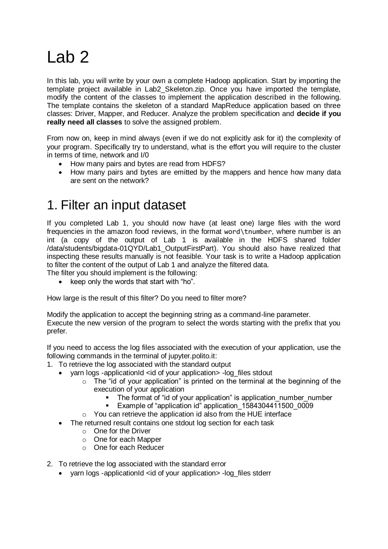## Lab 2

In this lab, you will write by your own a complete Hadoop application. Start by importing the template project available in Lab2\_Skeleton.zip. Once you have imported the template, modify the content of the classes to implement the application described in the following. The template contains the skeleton of a standard MapReduce application based on three classes: Driver, Mapper, and Reducer. Analyze the problem specification and **decide if you really need all classes** to solve the assigned problem.

From now on, keep in mind always (even if we do not explicitly ask for it) the complexity of your program. Specifically try to understand, what is the effort you will require to the cluster in terms of time, network and I/0

- How many pairs and bytes are read from HDFS?
- How many pairs and bytes are emitted by the mappers and hence how many data are sent on the network?

## 1. Filter an input dataset

If you completed Lab 1, you should now have (at least one) large files with the word frequencies in the amazon food reviews, in the format word\tnumber, where number is an int (a copy of the output of Lab 1 is available in the HDFS shared folder /data/students/bigdata-01QYD/Lab1\_OutputFirstPart). You should also have realized that inspecting these results manually is not feasible. Your task is to write a Hadoop application to filter the content of the output of Lab 1 and analyze the filtered data.

The filter you should implement is the following:

keep only the words that start with "ho".

How large is the result of this filter? Do you need to filter more?

Modify the application to accept the beginning string as a command-line parameter. Execute the new version of the program to select the words starting with the prefix that you prefer.

If you need to access the log files associated with the execution of your application, use the following commands in the terminal of jupyter.polito.it:

- 1. To retrieve the log associated with the standard output
	- yarn logs -applicationId <id of your application> -log files stdout
		- o The "id of your application" is printed on the terminal at the beginning of the execution of your application
			- The format of "id of your application" is application number number
			- Example of "application id" application 1584304411500 0009
		- o You can retrieve the application id also from the HUE interface
	- The returned result contains one stdout log section for each task
		- o One for the Driver
		- o One for each Mapper
		- o One for each Reducer
- 2. To retrieve the log associated with the standard error
	- yarn logs -applicationId <id of your application> -log\_files stderr